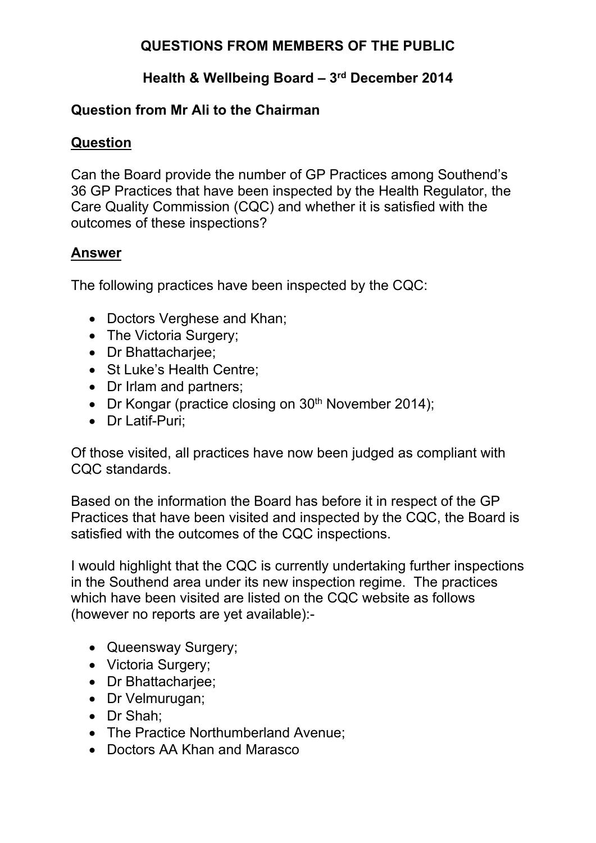# **QUESTIONS FROM MEMBERS OF THE PUBLIC**

## **Health & Wellbeing Board – 3 rd December 2014**

#### **Question from Mr Ali to the Chairman**

#### **Question**

Can the Board provide the number of GP Practices among Southend's 36 GP Practices that have been inspected by the Health Regulator, the Care Quality Commission (CQC) and whether it is satisfied with the outcomes of these inspections?

#### **Answer**

The following practices have been inspected by the CQC:

- Doctors Verghese and Khan;
- The Victoria Surgery;
- Dr Bhattachariee;
- St Luke's Health Centre:
- Dr Irlam and partners;
- Dr Kongar (practice closing on  $30<sup>th</sup>$  November 2014);
- Dr Latif-Puri:

Of those visited, all practices have now been judged as compliant with CQC standards.

Based on the information the Board has before it in respect of the GP Practices that have been visited and inspected by the CQC, the Board is satisfied with the outcomes of the CQC inspections.

I would highlight that the CQC is currently undertaking further inspections in the Southend area under its new inspection regime. The practices which have been visited are listed on the CQC website as follows (however no reports are yet available):-

- Queensway Surgery;
- Victoria Surgery;
- Dr Bhattachariee:
- Dr Velmurugan;
- Dr Shah:
- The Practice Northumberland Avenue;
- Doctors AA Khan and Marasco